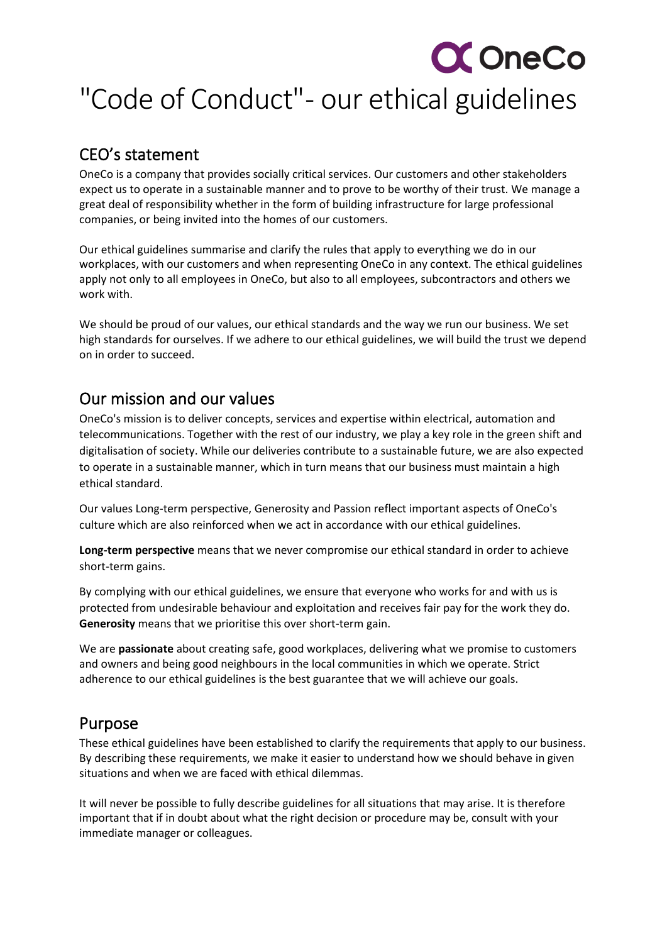# **CC** OneCo

## "Code of Conduct"- our ethical guidelines

### CEO's statement

OneCo is a company that provides socially critical services. Our customers and other stakeholders expect us to operate in a sustainable manner and to prove to be worthy of their trust. We manage a great deal of responsibility whether in the form of building infrastructure for large professional companies, or being invited into the homes of our customers.

Our ethical guidelines summarise and clarify the rules that apply to everything we do in our workplaces, with our customers and when representing OneCo in any context. The ethical guidelines apply not only to all employees in OneCo, but also to all employees, subcontractors and others we work with.

We should be proud of our values, our ethical standards and the way we run our business. We set high standards for ourselves. If we adhere to our ethical guidelines, we will build the trust we depend on in order to succeed.

### Our mission and our values

OneCo's mission is to deliver concepts, services and expertise within electrical, automation and telecommunications. Together with the rest of our industry, we play a key role in the green shift and digitalisation of society. While our deliveries contribute to a sustainable future, we are also expected to operate in a sustainable manner, which in turn means that our business must maintain a high ethical standard.

Our values Long-term perspective, Generosity and Passion reflect important aspects of OneCo's culture which are also reinforced when we act in accordance with our ethical guidelines.

**Long-term perspective** means that we never compromise our ethical standard in order to achieve short-term gains.

By complying with our ethical guidelines, we ensure that everyone who works for and with us is protected from undesirable behaviour and exploitation and receives fair pay for the work they do. **Generosity** means that we prioritise this over short-term gain.

We are **passionate** about creating safe, good workplaces, delivering what we promise to customers and owners and being good neighbours in the local communities in which we operate. Strict adherence to our ethical guidelines is the best guarantee that we will achieve our goals.

### Purpose

These ethical guidelines have been established to clarify the requirements that apply to our business. By describing these requirements, we make it easier to understand how we should behave in given situations and when we are faced with ethical dilemmas.

It will never be possible to fully describe guidelines for all situations that may arise. It is therefore important that if in doubt about what the right decision or procedure may be, consult with your immediate manager or colleagues.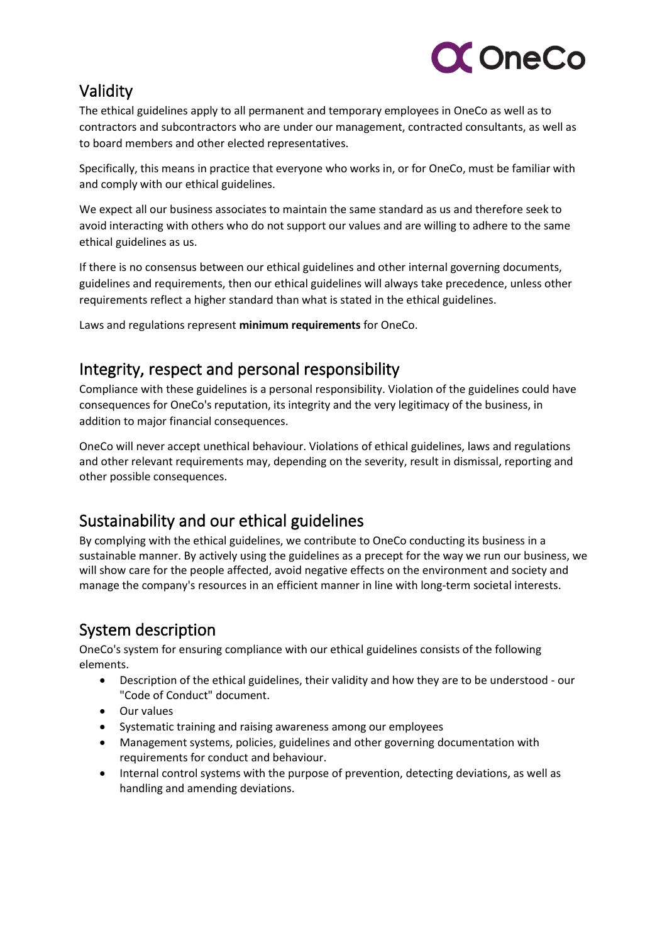

### Validity

The ethical guidelines apply to all permanent and temporary employees in OneCo as well as to contractors and subcontractors who are under our management, contracted consultants, as well as to board members and other elected representatives.

Specifically, this means in practice that everyone who works in, or for OneCo, must be familiar with and comply with our ethical guidelines.

We expect all our business associates to maintain the same standard as us and therefore seek to avoid interacting with others who do not support our values and are willing to adhere to the same ethical guidelines as us.

If there is no consensus between our ethical guidelines and other internal governing documents, guidelines and requirements, then our ethical guidelines will always take precedence, unless other requirements reflect a higher standard than what is stated in the ethical guidelines.

Laws and regulations represent **minimum requirements** for OneCo.

### Integrity, respect and personal responsibility

Compliance with these guidelines is a personal responsibility. Violation of the guidelines could have consequences for OneCo's reputation, its integrity and the very legitimacy of the business, in addition to major financial consequences.

OneCo will never accept unethical behaviour. Violations of ethical guidelines, laws and regulations and other relevant requirements may, depending on the severity, result in dismissal, reporting and other possible consequences.

### Sustainability and our ethical guidelines

By complying with the ethical guidelines, we contribute to OneCo conducting its business in a sustainable manner. By actively using the guidelines as a precept for the way we run our business, we will show care for the people affected, avoid negative effects on the environment and society and manage the company's resources in an efficient manner in line with long-term societal interests.

### System description

OneCo's system for ensuring compliance with our ethical guidelines consists of the following elements.

- Description of the ethical guidelines, their validity and how they are to be understood our "Code of Conduct" document.
- Our values
- Systematic training and raising awareness among our employees
- Management systems, policies, guidelines and other governing documentation with requirements for conduct and behaviour.
- Internal control systems with the purpose of prevention, detecting deviations, as well as handling and amending deviations.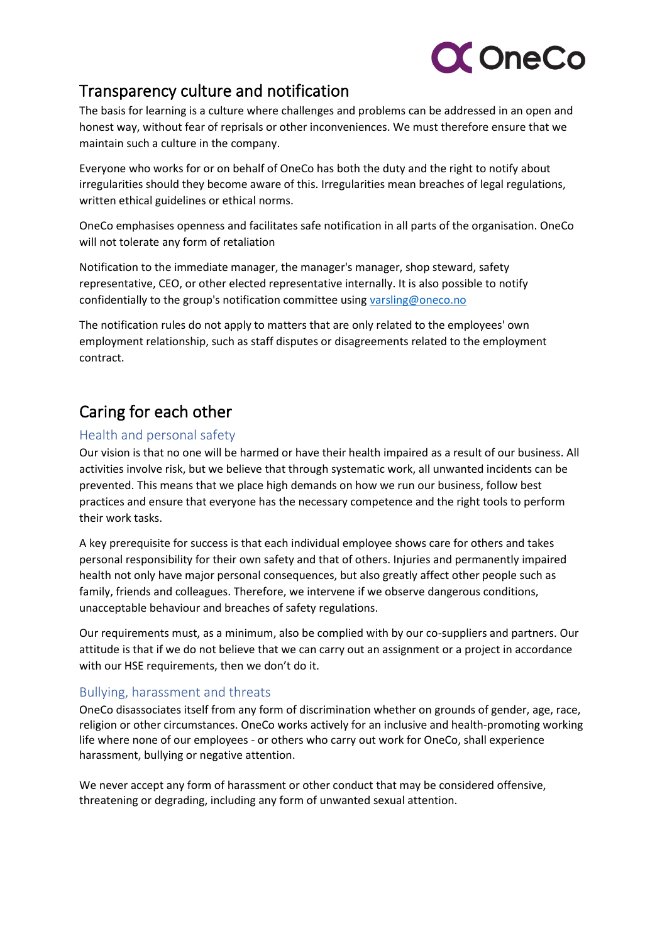

### Transparency culture and notification

The basis for learning is a culture where challenges and problems can be addressed in an open and honest way, without fear of reprisals or other inconveniences. We must therefore ensure that we maintain such a culture in the company.

Everyone who works for or on behalf of OneCo has both the duty and the right to notify about irregularities should they become aware of this. Irregularities mean breaches of legal regulations, written ethical guidelines or ethical norms.

OneCo emphasises openness and facilitates safe notification in all parts of the organisation. OneCo will not tolerate any form of retaliation

Notification to the immediate manager, the manager's manager, shop steward, safety representative, CEO, or other elected representative internally. It is also possible to notify confidentially to the group's notification committee using [varsling@oneco.no](mailto:varsling@oneco.no)

The notification rules do not apply to matters that are only related to the employees' own employment relationship, such as staff disputes or disagreements related to the employment contract.

### Caring for each other

### Health and personal safety

Our vision is that no one will be harmed or have their health impaired as a result of our business. All activities involve risk, but we believe that through systematic work, all unwanted incidents can be prevented. This means that we place high demands on how we run our business, follow best practices and ensure that everyone has the necessary competence and the right tools to perform their work tasks.

A key prerequisite for success is that each individual employee shows care for others and takes personal responsibility for their own safety and that of others. Injuries and permanently impaired health not only have major personal consequences, but also greatly affect other people such as family, friends and colleagues. Therefore, we intervene if we observe dangerous conditions, unacceptable behaviour and breaches of safety regulations.

Our requirements must, as a minimum, also be complied with by our co-suppliers and partners. Our attitude is that if we do not believe that we can carry out an assignment or a project in accordance with our HSE requirements, then we don't do it.

### Bullying, harassment and threats

OneCo disassociates itself from any form of discrimination whether on grounds of gender, age, race, religion or other circumstances. OneCo works actively for an inclusive and health-promoting working life where none of our employees - or others who carry out work for OneCo, shall experience harassment, bullying or negative attention.

We never accept any form of harassment or other conduct that may be considered offensive, threatening or degrading, including any form of unwanted sexual attention.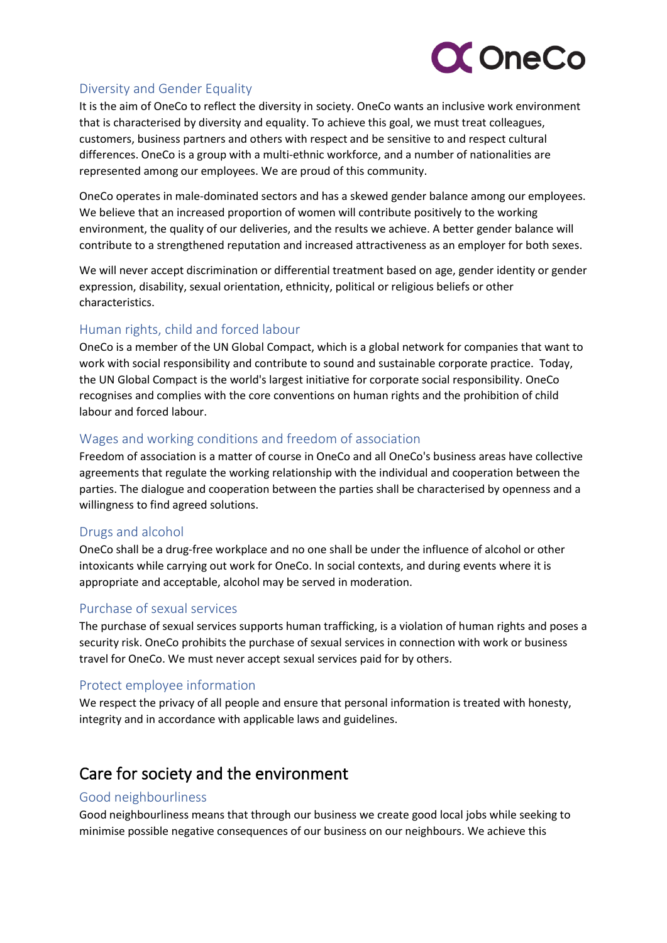

### Diversity and Gender Equality

It is the aim of OneCo to reflect the diversity in society. OneCo wants an inclusive work environment that is characterised by diversity and equality. To achieve this goal, we must treat colleagues, customers, business partners and others with respect and be sensitive to and respect cultural differences. OneCo is a group with a multi-ethnic workforce, and a number of nationalities are represented among our employees. We are proud of this community.

OneCo operates in male-dominated sectors and has a skewed gender balance among our employees. We believe that an increased proportion of women will contribute positively to the working environment, the quality of our deliveries, and the results we achieve. A better gender balance will contribute to a strengthened reputation and increased attractiveness as an employer for both sexes.

We will never accept discrimination or differential treatment based on age, gender identity or gender expression, disability, sexual orientation, ethnicity, political or religious beliefs or other characteristics.

### Human rights, child and forced labour

OneCo is a member of the UN Global Compact, which is a global network for companies that want to work with social responsibility and contribute to sound and sustainable corporate practice.  Today, the UN Global Compact is the world's largest initiative for corporate social responsibility. OneCo recognises and complies with the core conventions on human rights and the prohibition of child labour and forced labour.

#### Wages and working conditions and freedom of association

Freedom of association is a matter of course in OneCo and all OneCo's business areas have collective agreements that regulate the working relationship with the individual and cooperation between the parties. The dialogue and cooperation between the parties shall be characterised by openness and a willingness to find agreed solutions.

#### Drugs and alcohol

OneCo shall be a drug-free workplace and no one shall be under the influence of alcohol or other intoxicants while carrying out work for OneCo. In social contexts, and during events where it is appropriate and acceptable, alcohol may be served in moderation.

#### Purchase of sexual services

The purchase of sexual services supports human trafficking, is a violation of human rights and poses a security risk. OneCo prohibits the purchase of sexual services in connection with work or business travel for OneCo. We must never accept sexual services paid for by others.

#### Protect employee information

We respect the privacy of all people and ensure that personal information is treated with honesty, integrity and in accordance with applicable laws and guidelines.

### Care for society and the environment

#### Good neighbourliness

Good neighbourliness means that through our business we create good local jobs while seeking to minimise possible negative consequences of our business on our neighbours. We achieve this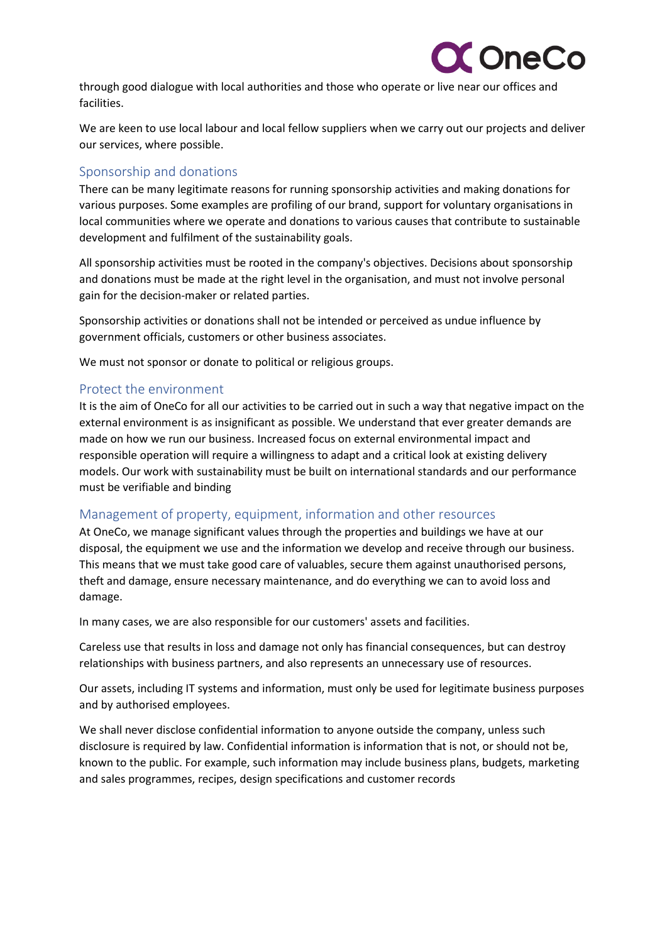

through good dialogue with local authorities and those who operate or live near our offices and facilities.

We are keen to use local labour and local fellow suppliers when we carry out our projects and deliver our services, where possible.

### Sponsorship and donations

There can be many legitimate reasons for running sponsorship activities and making donations for various purposes. Some examples are profiling of our brand, support for voluntary organisations in local communities where we operate and donations to various causes that contribute to sustainable development and fulfilment of the sustainability goals.

All sponsorship activities must be rooted in the company's objectives. Decisions about sponsorship and donations must be made at the right level in the organisation, and must not involve personal gain for the decision-maker or related parties.

Sponsorship activities or donations shall not be intended or perceived as undue influence by government officials, customers or other business associates.

We must not sponsor or donate to political or religious groups.

#### Protect the environment

It is the aim of OneCo for all our activities to be carried out in such a way that negative impact on the external environment is as insignificant as possible. We understand that ever greater demands are made on how we run our business. Increased focus on external environmental impact and responsible operation will require a willingness to adapt and a critical look at existing delivery models. Our work with sustainability must be built on international standards and our performance must be verifiable and binding

#### Management of property, equipment, information and other resources

At OneCo, we manage significant values through the properties and buildings we have at our disposal, the equipment we use and the information we develop and receive through our business. This means that we must take good care of valuables, secure them against unauthorised persons, theft and damage, ensure necessary maintenance, and do everything we can to avoid loss and damage.

In many cases, we are also responsible for our customers' assets and facilities.

Careless use that results in loss and damage not only has financial consequences, but can destroy relationships with business partners, and also represents an unnecessary use of resources.

Our assets, including IT systems and information, must only be used for legitimate business purposes and by authorised employees.

We shall never disclose confidential information to anyone outside the company, unless such disclosure is required by law. Confidential information is information that is not, or should not be, known to the public. For example, such information may include business plans, budgets, marketing and sales programmes, recipes, design specifications and customer records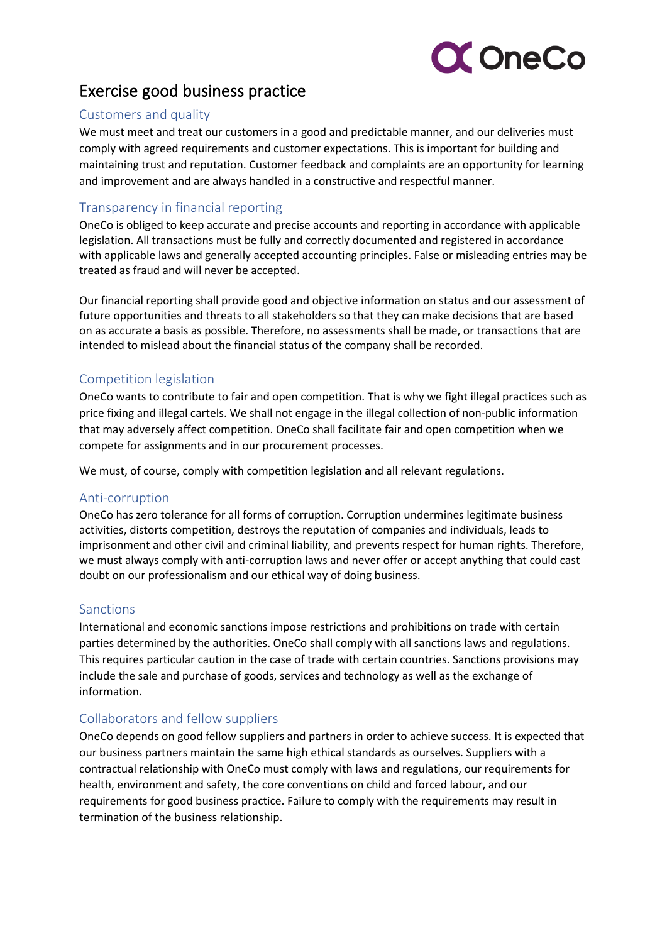

### Exercise good business practice

#### Customers and quality

We must meet and treat our customers in a good and predictable manner, and our deliveries must comply with agreed requirements and customer expectations. This is important for building and maintaining trust and reputation. Customer feedback and complaints are an opportunity for learning and improvement and are always handled in a constructive and respectful manner.

### Transparency in financial reporting

OneCo is obliged to keep accurate and precise accounts and reporting in accordance with applicable legislation. All transactions must be fully and correctly documented and registered in accordance with applicable laws and generally accepted accounting principles. False or misleading entries may be treated as fraud and will never be accepted.

Our financial reporting shall provide good and objective information on status and our assessment of future opportunities and threats to all stakeholders so that they can make decisions that are based on as accurate a basis as possible. Therefore, no assessments shall be made, or transactions that are intended to mislead about the financial status of the company shall be recorded.

### Competition legislation

OneCo wants to contribute to fair and open competition. That is why we fight illegal practices such as price fixing and illegal cartels. We shall not engage in the illegal collection of non-public information that may adversely affect competition. OneCo shall facilitate fair and open competition when we compete for assignments and in our procurement processes.

We must, of course, comply with competition legislation and all relevant regulations.

#### Anti-corruption

OneCo has zero tolerance for all forms of corruption. Corruption undermines legitimate business activities, distorts competition, destroys the reputation of companies and individuals, leads to imprisonment and other civil and criminal liability, and prevents respect for human rights. Therefore, we must always comply with anti-corruption laws and never offer or accept anything that could cast doubt on our professionalism and our ethical way of doing business.

#### Sanctions

International and economic sanctions impose restrictions and prohibitions on trade with certain parties determined by the authorities. OneCo shall comply with all sanctions laws and regulations. This requires particular caution in the case of trade with certain countries. Sanctions provisions may include the sale and purchase of goods, services and technology as well as the exchange of information.

### Collaborators and fellow suppliers

OneCo depends on good fellow suppliers and partners in order to achieve success. It is expected that our business partners maintain the same high ethical standards as ourselves. Suppliers with a contractual relationship with OneCo must comply with laws and regulations, our requirements for health, environment and safety, the core conventions on child and forced labour, and our requirements for good business practice. Failure to comply with the requirements may result in termination of the business relationship.